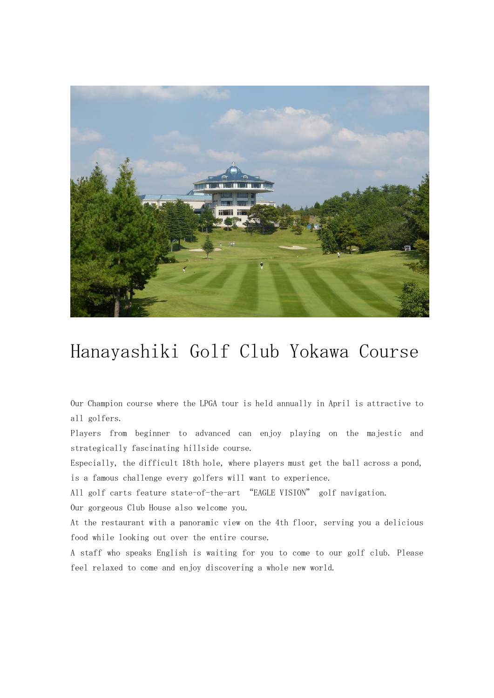

## Hanayashiki Golf Club Yokawa Course

Our Champion course where the LPGA tour is held annually in April is attractive to all golfers.

Players from beginner to advanced can enjoy playing on the majestic and strategically fascinating hillside course.

Especially, the difficult 18th hole, where players must get the ball across a pond, is a famous challenge every golfers will want to experience.

All golf carts feature state-of-the-art "EAGLE VISION" golf navigation.

Our gorgeous Club House also welcome you.

At the restaurant with a panoramic view on the 4th floor, serving you a delicious food while looking out over the entire course.

A staff who speaks English is waiting for you to come to our golf club. Please feel relaxed to come and enjoy discovering a whole new world.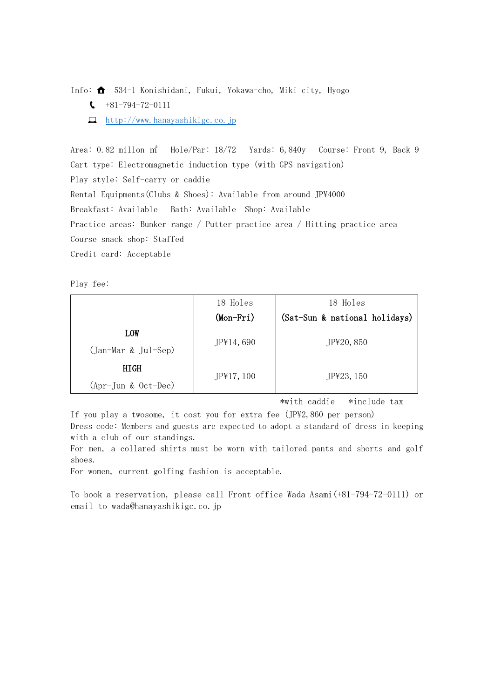Info:  $\bigoplus$  534-1 Konishidani, Fukui, Yokawa-cho, Miki city, Hyogo

- $\binom{+81-794-72-0111}{ }$
- $\Box$  [http://www.hanayashikigc.co.jp](http://www.hanayashikigc.co.jp/)

Area: 0.82 millon ㎡ Hole/Par: 18/72 Yards: 6,840y Course: Front 9, Back 9 Cart type: Electromagnetic induction type (with GPS navigation) Play style: Self-carry or caddie Rental Equipments(Clubs & Shoes): Available from around JP\4000 Breakfast: Available Bath: Available Shop: Available Practice areas: Bunker range / Putter practice area / Hitting practice area Course snack shop: Staffed Credit card: Acceptable

Play fee:

|                       | 18 Holes    | 18 Holes                      |
|-----------------------|-------------|-------------------------------|
|                       | $(Mon-Fri)$ | (Sat-Sun & national holidays) |
| <b>LOW</b>            | JP¥14, 690  | JP¥20, 850                    |
| (Jan-Mar & Jul-Sep)   |             |                               |
| HIGH                  |             |                               |
| $(Apr-Jun & Oct-Dec)$ | JP¥17, 100  | JP¥23, 150                    |

\*with caddie \*include tax

If you play a twosome, it cost you for extra fee (JP\2,860 per person) Dress code: Members and guests are expected to adopt a standard of dress in keeping with a club of our standings.

For men, a collared shirts must be worn with tailored pants and shorts and golf shoes.

For women, current golfing fashion is acceptable.

To book a reservation, please call Front office Wada Asami(+81-794-72-0111) or email to wada@hanayashikigc.co.jp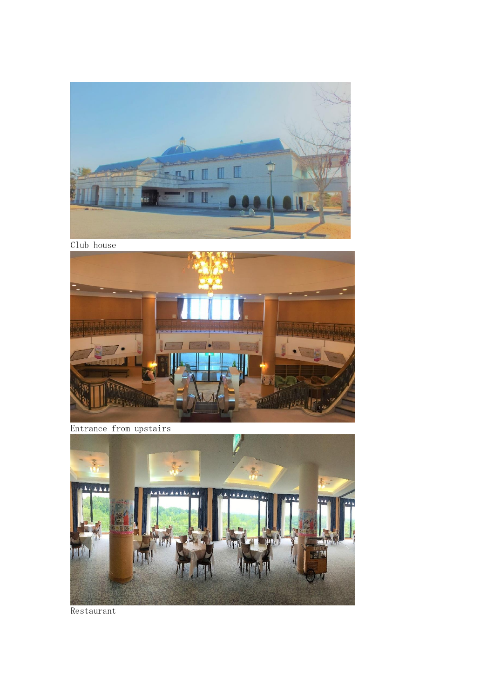

Club house



Entrance from upstairs



Restaurant